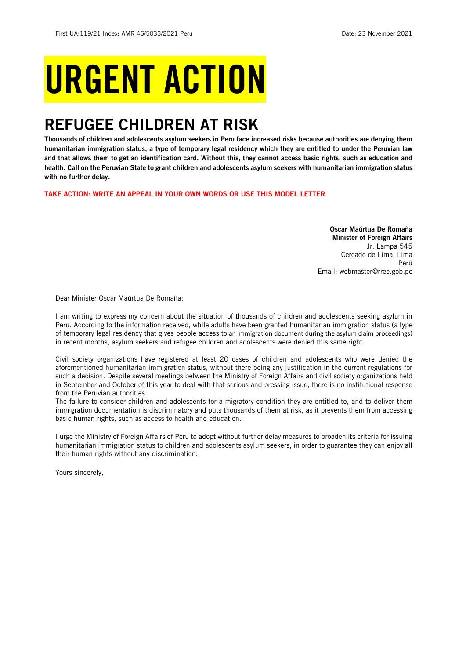# URGENT ACTION

## REFUGEE CHILDREN AT RISK

Thousands of children and adolescents asylum seekers in Peru face increased risks because authorities are denying them humanitarian immigration status, a type of temporary legal residency which they are entitled to under the Peruvian law and that allows them to get an identification card. Without this, they cannot access basic rights, such as education and health. Call on the Peruvian State to grant children and adolescents asylum seekers with humanitarian immigration status with no further delay.

TAKE ACTION: WRITE AN APPEAL IN YOUR OWN WORDS OR USE THIS MODEL LETTER

Oscar Maúrtua De Romaña Minister of Foreign Affairs Jr. Lampa 545 Cercado de Lima, Lima Perú Email: [webmaster@rree.gob.pe](mailto:webmaster@rree.gob.pe)

Dear Minister Oscar Maúrtua De Romaña:

I am writing to express my concern about the situation of thousands of children and adolescents seeking asylum in Peru. According to the information received, while adults have been granted humanitarian immigration status (a type of temporary legal residency that gives people access to an immigration document during the asylum claim proceedings) in recent months, asylum seekers and refugee children and adolescents were denied this same right.

Civil society organizations have registered at least 20 cases of children and adolescents who were denied the aforementioned humanitarian immigration status, without there being any justification in the current regulations for such a decision. Despite several meetings between the Ministry of Foreign Affairs and civil society organizations held in September and October of this year to deal with that serious and pressing issue, there is no institutional response from the Peruvian authorities.

The failure to consider children and adolescents for a migratory condition they are entitled to, and to deliver them immigration documentation is discriminatory and puts thousands of them at risk, as it prevents them from accessing basic human rights, such as access to health and education.

I urge the Ministry of Foreign Affairs of Peru to adopt without further delay measures to broaden its criteria for issuing humanitarian immigration status to children and adolescents asylum seekers, in order to guarantee they can enjoy all their human rights without any discrimination.

Yours sincerely,